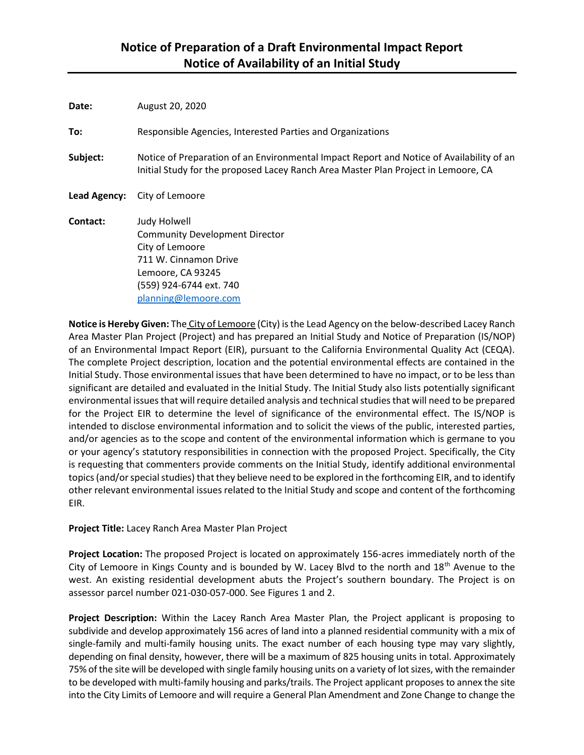| Date:        | August 20, 2020                                                                                                                                                                |
|--------------|--------------------------------------------------------------------------------------------------------------------------------------------------------------------------------|
| To:          | Responsible Agencies, Interested Parties and Organizations                                                                                                                     |
| Subject:     | Notice of Preparation of an Environmental Impact Report and Notice of Availability of an<br>Initial Study for the proposed Lacey Ranch Area Master Plan Project in Lemoore, CA |
| Lead Agency: | City of Lemoore                                                                                                                                                                |
| Contact:     | Judy Holwell<br><b>Community Development Director</b><br>City of Lemoore<br>711 W. Cinnamon Drive<br>Lemoore, CA 93245<br>(559) 924-6744 ext. 740                              |

**Notice is Hereby Given:** The City of Lemoore (City) is the Lead Agency on the below-described Lacey Ranch Area Master Plan Project (Project) and has prepared an Initial Study and Notice of Preparation (IS/NOP) of an Environmental Impact Report (EIR), pursuant to the California Environmental Quality Act (CEQA). The complete Project description, location and the potential environmental effects are contained in the Initial Study. Those environmental issues that have been determined to have no impact, or to be less than significant are detailed and evaluated in the Initial Study. The Initial Study also lists potentially significant environmental issues that will require detailed analysis and technical studies that will need to be prepared for the Project EIR to determine the level of significance of the environmental effect. The IS/NOP is intended to disclose environmental information and to solicit the views of the public, interested parties, and/or agencies as to the scope and content of the environmental information which is germane to you or your agency's statutory responsibilities in connection with the proposed Project. Specifically, the City is requesting that commenters provide comments on the Initial Study, identify additional environmental topics(and/or special studies) that they believe need to be explored in the forthcoming EIR, and to identify other relevant environmental issues related to the Initial Study and scope and content of the forthcoming EIR.

**Project Title:** Lacey Ranch Area Master Plan Project

[planning@lemoore.com](mailto:jholwell@lemoore.com)

**Project Location:** The proposed Project is located on approximately 156-acres immediately north of the City of Lemoore in Kings County and is bounded by W. Lacey Blvd to the north and 18th Avenue to the west. An existing residential development abuts the Project's southern boundary. The Project is on assessor parcel number 021-030-057-000. See Figures 1 and 2.

**Project Description:** Within the Lacey Ranch Area Master Plan, the Project applicant is proposing to subdivide and develop approximately 156 acres of land into a planned residential community with a mix of single-family and multi-family housing units. The exact number of each housing type may vary slightly, depending on final density, however, there will be a maximum of 825 housing units in total. Approximately 75% of the site will be developed with single family housing units on a variety of lot sizes, with the remainder to be developed with multi-family housing and parks/trails. The Project applicant proposes to annex the site into the City Limits of Lemoore and will require a General Plan Amendment and Zone Change to change the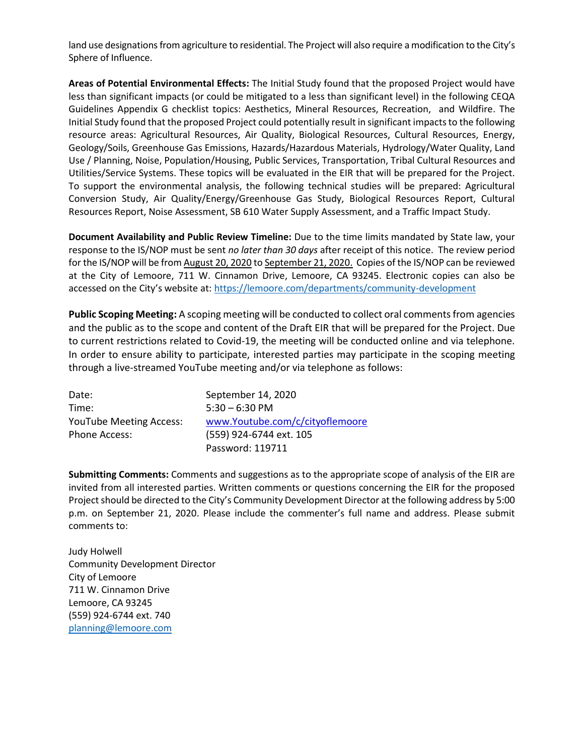land use designations from agriculture to residential. The Project will also require a modification to the City's Sphere of Influence.

**Areas of Potential Environmental Effects:** The Initial Study found that the proposed Project would have less than significant impacts (or could be mitigated to a less than significant level) in the following CEQA Guidelines Appendix G checklist topics: Aesthetics, Mineral Resources, Recreation, and Wildfire. The Initial Study found that the proposed Project could potentially result in significant impacts to the following resource areas: Agricultural Resources, Air Quality, Biological Resources, Cultural Resources, Energy, Geology/Soils, Greenhouse Gas Emissions, Hazards/Hazardous Materials, Hydrology/Water Quality, Land Use / Planning, Noise, Population/Housing, Public Services, Transportation, Tribal Cultural Resources and Utilities/Service Systems. These topics will be evaluated in the EIR that will be prepared for the Project. To support the environmental analysis, the following technical studies will be prepared: Agricultural Conversion Study, Air Quality/Energy/Greenhouse Gas Study, Biological Resources Report, Cultural Resources Report, Noise Assessment, SB 610 Water Supply Assessment, and a Traffic Impact Study.

**Document Availability and Public Review Timeline:** Due to the time limits mandated by State law, your response to the IS/NOP must be sent *no later than 30 days* after receipt of this notice. The review period for the IS/NOP will be from August 20, 2020 to September 21, 2020. Copies of the IS/NOP can be reviewed at the City of Lemoore, 711 W. Cinnamon Drive, Lemoore, CA 93245. Electronic copies can also be accessed on the City's website at: <https://lemoore.com/departments/community-development>

**Public Scoping Meeting:** A scoping meeting will be conducted to collect oral comments from agencies and the public as to the scope and content of the Draft EIR that will be prepared for the Project. Due to current restrictions related to Covid-19, the meeting will be conducted online and via telephone. In order to ensure ability to participate, interested parties may participate in the scoping meeting through a live-streamed YouTube meeting and/or via telephone as follows:

| Date:                          | September 14, 2020              |
|--------------------------------|---------------------------------|
| Time:                          | $5:30 - 6:30$ PM                |
| <b>YouTube Meeting Access:</b> | www.Youtube.com/c/cityoflemoore |
| Phone Access:                  | (559) 924-6744 ext. 105         |
|                                | Password: 119711                |

**Submitting Comments:** Comments and suggestions as to the appropriate scope of analysis of the EIR are invited from all interested parties. Written comments or questions concerning the EIR for the proposed Project should be directed to the City's Community Development Director at the following address by 5:00 p.m. on September 21, 2020. Please include the commenter's full name and address. Please submit comments to:

Judy Holwell Community Development Director City of Lemoore 711 W. Cinnamon Drive Lemoore, CA 93245 (559) 924-6744 ext. 740 [planning@lemoore.com](mailto:planning@lemoore.com)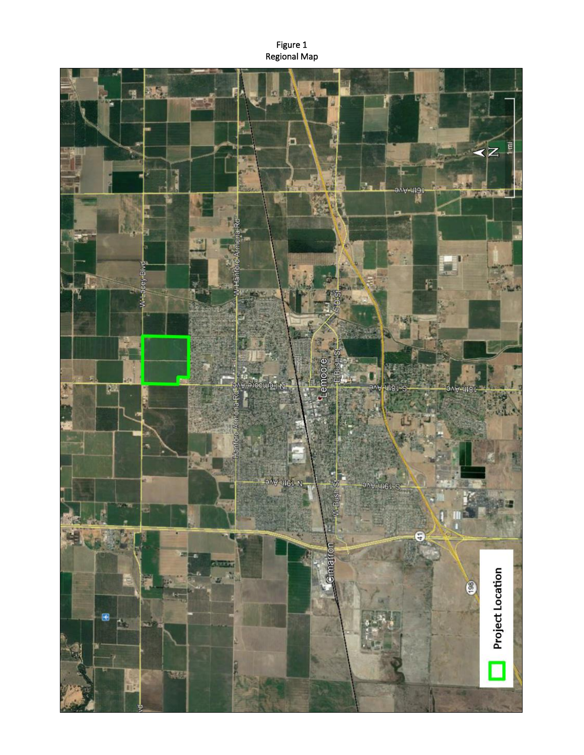Figure 1 Regional Map